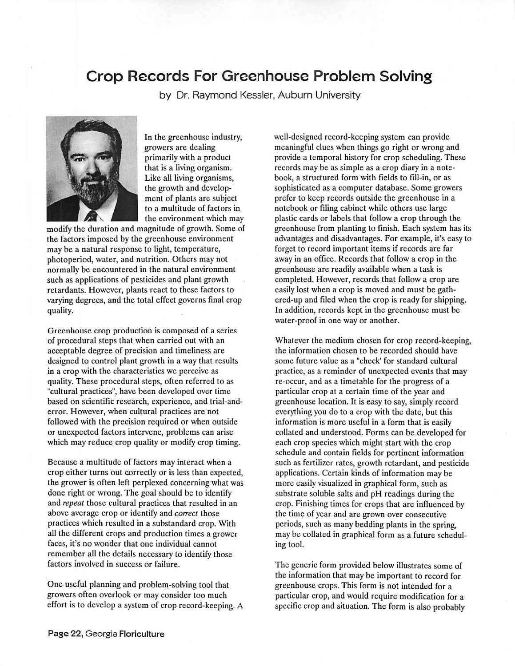## Crop Records For Greenhouse Problem Solving

by Dr. Raymond Kessler, Auburn University



In the greenhouse industry, growers are dealing primarily with a product that is a living organism. Like all living organisms, the growth and develop ment of plants are subject to a multitude of factors in the environment which may

modify the duration and magnitude of growth. Some of the factors imposed by the greenhouse environment may be a natural response to light, temperature, photoperiod, water, and nutrition. Others may not normally be encountered in the natural environment such as applications of pesticides and plant growth retardants. However, plants react to these factors to varying degrees, and the total effect governs final crop quality.

Greenhouse crop production is composed of a series of procedural steps that when carried out with an acceptable degree of precision and timeliness are designed to control plant growth in a way that results in a crop with the characteristics we perceive as quality. These procedural steps, often referred to as "cultural practices", have been developed over time based on scientific research, experience, and trial-anderror. However, when cultural practices are not followed with the precision required or when outside or unexpected factors intervene, problems can arise which may reduce crop quality or modify crop timing.

Because a multitude of factors may interact when a crop either turns out correctly or is less than expected, the grower is often left perplexed concerning what was done right or wrong. The goal should be to identify and **repeat** those cultural practices that resulted in an above average crop or identify and **correct** those practices which resulted in a substandard crop. With all the different crops and production times a grower faces, it's no wonder that one individual cannot remember all the details necessary to identify those factors involved in success or failure.

One useful planning and problem-solving tool that growers often overlook or may consider too much effort is to develop a system of crop record-keeping. A well-designed record-keeping system can provide meaningful clues when things go right or wrong and provide a temporal history for crop scheduling. These records may be as simple as a crop diary in a note book, a structured form with fields to fill-in, or as sophisticated as a computer database. Some growers prefer to keep records outside the greenhouse in a notebook or filing cabinet while others use large plastic cards or labels that follow a crop through the greenhouse from planting to finish. Each system has its advantages and disadvantages. For example, it's easy to forget to record important items if records are far away in an office. Records that follow a crop in the greenhouse are readily available when a task is completed. However, records that follow a crop are easily lost when a crop is moved and must be gathercd-up and filed when the crop is ready for shipping. In addition, records kept in the greenhouse must be water-proof in one way or another.

Whatever the medium chosen for crop record-keeping, the information chosen to be recorded should have some future value as a "check' for standard cultural practice, as a reminder of unexpected events that may re-occur, and as a timetable for the progress of a particular crop at a certain time of the year and greenhouse location. It is easy to say, simply record everything you do to a crop with the date, but this information is more useful in a form that is easily collated and understood. Forms can be developed for each crop species which might start with the crop schedule and contain fields for pertinent information such as fertilizer rates, growth retardant, and pesticide applications. Certain kinds of information maybe more easily visualized in graphical form, such as substrate soluble salts and pH readings during the crop. Finishing times for crops that are influencedby the time of year and are grown over consecutive periods, such as many bedding plants in the spring, may be collated in graphical form as a future schedul ing tool.

The generic form provided below illustrates some of the information that may be important to record for greenhouse crops. This form is not intended for a particular crop, and would require modification for a specific crop and situation. The form is also probably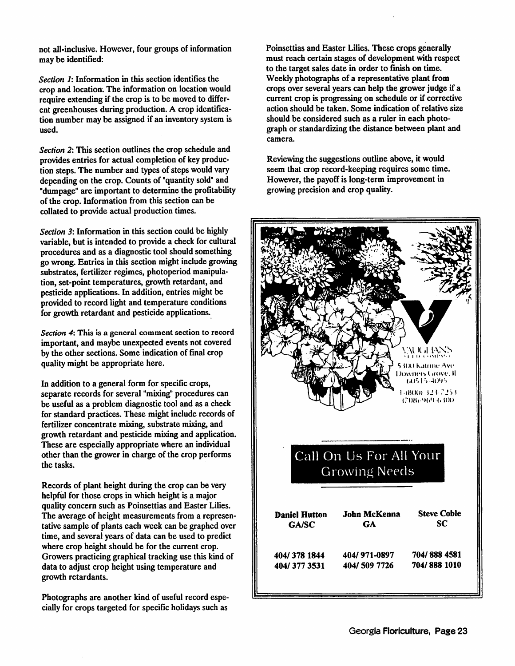not all-inclusive. However, four groups of information may be identified:

**Section 1:** Information in this section identifies the crop and location. The information on location would require extending if the crop is to be moved to different greenhouses during production. A crop identification number may be assigned if an inventory system is used.

Section 2: This section outlines the crop schedule and provides entries for actual completion of key produc tion steps. The number and types of steps would vary depending on the crop. Counts of "quantity sold" and "dumpage" are important to determine the profitability of the crop. Information from this section can be collated to provide actual production times.

Section 3: Information in this section could be highly variable, but is intended to provide a check for cultural procedures and as a diagnostic tool should something gowrong. Entries in thissection might include growing substrates, fertilizer regimes, photoperiod manipula tion, set-point temperatures, growth retardant, and pesticide applications. In addition, entries might be provided to record light and temperature conditions for growth retardant and pesticide applications.

**Section 4:**This is a general comment section to record important, and maybe unexpected events not covered bythe other sections.Some indication of final crop qualitymight be appropriate here.

In addition to a general form for specific crops, separate records for several "mixing" procedures can be useful as a problem diagnostic tool and as a check for standard practices. These might include records of fertilizer concentrate mixing, substrate mixing, and growth retardant and pesticide mixing and application. These are especially appropriate where an individual other than the grower in charge of the crop performs the tasks.

Records of plant height during the crop can be very helpful for those crops in which height is a major quality concern such as Poinsettias and Easter Lilies. The average of height measurements from a represen tative sample of plants each week can be graphed over time, and several years of data can be used to predict where crop height should be for the current crop. Growers practicing graphical tracking use this kind of data to adjust crop height using temperature and growth retardants.

Photographs are another kind of useful record espe cially for crops targeted for specific holidays such as

Poinsettias and Easter Lilies. These crops generally must reach certain stages of development with respect to the target sales date in order to finish on time. Weekly photographs of a representative plant from crops over several years can help the grower judge if a current crop is progressing on schedule or if corrective action should be taken. Some indication of relative size should be considered such as a ruler in each photo graph or standardizing the distance between plant and camera.

Reviewing the suggestions outline above, it would seem that crop record-keeping requires some time. However, the payoff is long-term improvement in growing precision and crop quality.